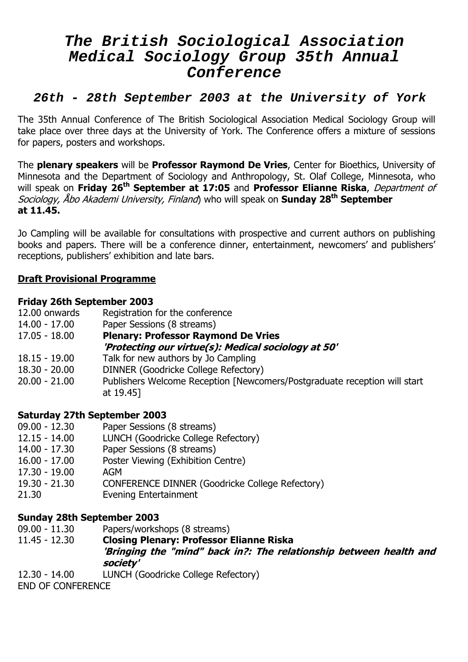# **The British Sociological Association Medical Sociology Group 35th Annual Conference**

# **26th - 28th September 2003 at the University of York**

The 35th Annual Conference of The British Sociological Association Medical Sociology Group will take place over three days at the University of York. The Conference offers a mixture of sessions for papers, posters and workshops.

The **plenary speakers** will be **Professor Raymond De Vries**, Center for Bioethics, University of Minnesota and the Department of Sociology and Anthropology, St. Olaf College, Minnesota, who will speak on **Friday 26th September at 17:05** and **Professor Elianne Riska**, Department of Sociology, Åbo Akademi University, Finland) who will speak on **Sunday 28th September at 11.45.** 

Jo Campling will be available for consultations with prospective and current authors on publishing books and papers. There will be a conference dinner, entertainment, newcomers' and publishers' receptions, publishers' exhibition and late bars.

# **Draft Provisional Programme**

#### **Friday 26th September 2003**

| 12.00 onwards   | Registration for the conference                     |
|-----------------|-----------------------------------------------------|
| 14.00 - 17.00   | Paper Sessions (8 streams)                          |
| 17.05 - 18.00   | <b>Plenary: Professor Raymond De Vries</b>          |
|                 | 'Protecting our virtue(s): Medical sociology at 50' |
| $18.15 - 19.00$ | Talk for new authors by Jo Campling                 |
| $18.30 - 20.00$ | DINNER (Goodricke College Refectory)                |

20.00 - 21.00 Publishers Welcome Reception [Newcomers/Postgraduate reception will start at 19.45]

## **Saturday 27th September 2003**

- 09.00 12.30 Paper Sessions (8 streams)
- 12.15 14.00 LUNCH (Goodricke College Refectory)
- 14.00 17.30 Paper Sessions (8 streams)
- 16.00 17.00 Poster Viewing (Exhibition Centre)
- 17.30 19.00 AGM
- 19.30 21.30 CONFERENCE DINNER (Goodricke College Refectory)
- 21.30 Evening Entertainment

# **Sunday 28th September 2003**

- 09.00 11.30 Papers/workshops (8 streams)
- 11.45 12.30 **Closing Plenary: Professor Elianne Riska 'Bringing the "mind" back in?: The relationship between health and society'**
- 12.30 14.00 LUNCH (Goodricke College Refectory)

END OF CONFERENCE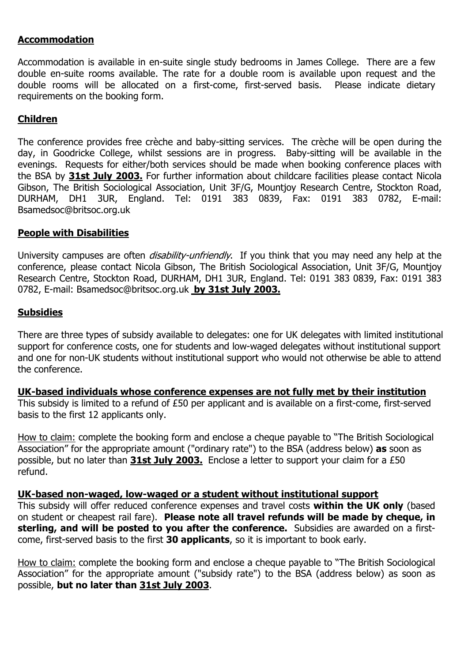# **Accommodation**

Accommodation is available in en-suite single study bedrooms in James College. There are a few double en-suite rooms available. The rate for a double room is available upon request and the double rooms will be allocated on a first-come, first-served basis. Please indicate dietary requirements on the booking form.

# **Children**

The conference provides free crèche and baby-sitting services. The crèche will be open during the day, in Goodricke College, whilst sessions are in progress. Baby-sitting will be available in the evenings. Requests for either/both services should be made when booking conference places with the BSA by **31st July 2003.** For further information about childcare facilities please contact Nicola Gibson, The British Sociological Association, Unit 3F/G, Mountjoy Research Centre, Stockton Road, DURHAM, DH1 3UR, England. Tel: 0191 383 0839, Fax: 0191 383 0782, E-mail: Bsamedsoc@britsoc.org.uk

#### **People with Disabilities**

University campuses are often *disability-unfriendly*. If you think that you may need any help at the conference, please contact Nicola Gibson, The British Sociological Association, Unit 3F/G, Mountjoy Research Centre, Stockton Road, DURHAM, DH1 3UR, England. Tel: 0191 383 0839, Fax: 0191 383 0782, E-mail: [Bsamedsoc@britsoc.org.uk](mailto:Bsamedsoc@britsoc.org.uk) **by 31st July 2003.**

#### **Subsidies**

There are three types of subsidy available to delegates: one for UK delegates with limited institutional support for conference costs, one for students and low-waged delegates without institutional support and one for non-UK students without institutional support who would not otherwise be able to attend the conference.

**UK-based individuals whose conference expenses are not fully met by their institution**  This subsidy is limited to a refund of £50 per applicant and is available on a first-come, first-served basis to the first 12 applicants only.

How to claim: complete the booking form and enclose a cheque payable to "The British Sociological Association" for the appropriate amount ("ordinary rate") to the BSA (address below) **as** soon as possible, but no later than **31st July 2003.** Enclose a letter to support your claim for a £50 refund.

#### **UK-based non-waged, low-waged or a student without institutional support**

This subsidy will offer reduced conference expenses and travel costs **within the UK only** (based on student or cheapest rail fare). **Please note all travel refunds will be made by cheque, in sterling, and will be posted to you after the conference.** Subsidies are awarded on a firstcome, first-served basis to the first **30 applicants**, so it is important to book early.

How to claim: complete the booking form and enclose a cheque payable to "The British Sociological Association" for the appropriate amount ("subsidy rate") to the BSA (address below) as soon as possible, **but no later than 31st July 2003**.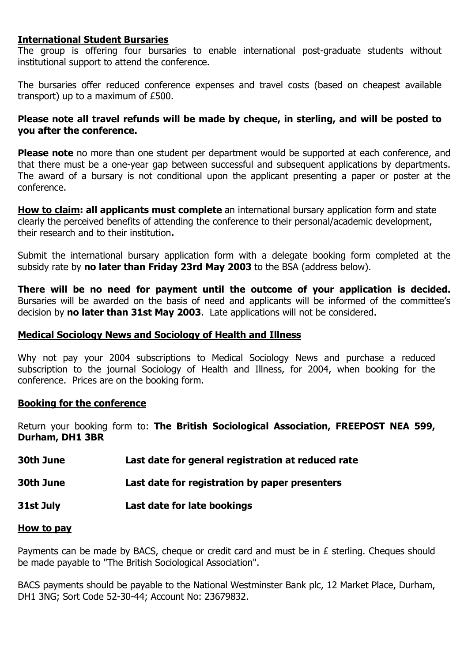### **International Student Bursaries**

The group is offering four bursaries to enable international post-graduate students without institutional support to attend the conference.

The bursaries offer reduced conference expenses and travel costs (based on cheapest available transport) up to a maximum of £500.

#### **Please note all travel refunds will be made by cheque, in sterling, and will be posted to you after the conference.**

**Please note** no more than one student per department would be supported at each conference, and that there must be a one-year gap between successful and subsequent applications by departments. The award of a bursary is not conditional upon the applicant presenting a paper or poster at the conference.

**How to claim: all applicants must complete** an international bursary application form and state clearly the perceived benefits of attending the conference to their personal/academic development, their research and to their institution**.** 

Submit the international bursary application form with a delegate booking form completed at the subsidy rate by **no later than Friday 23rd May 2003** to the BSA (address below).

**There will be no need for payment until the outcome of your application is decided.**  Bursaries will be awarded on the basis of need and applicants will be informed of the committee's decision by **no later than 31st May 2003**. Late applications will not be considered.

#### **Medical Sociology News and Sociology of Health and Illness**

Why not pay your 2004 subscriptions to Medical Sociology News and purchase a reduced subscription to the journal Sociology of Health and Illness, for 2004, when booking for the conference. Prices are on the booking form.

#### **Booking for the conference**

Return your booking form to: **The British Sociological Association, FREEPOST NEA 599, Durham, DH1 3BR** 

**30th June Last date for general registration at reduced rate** 

**30th June Last date for registration by paper presenters** 

**31st July Last date for late bookings**

#### **How to pay**

Payments can be made by BACS, cheque or credit card and must be in £ sterling. Cheques should be made payable to "The British Sociological Association".

BACS payments should be payable to the National Westminster Bank plc, 12 Market Place, Durham, DH1 3NG; Sort Code 52-30-44; Account No: 23679832.